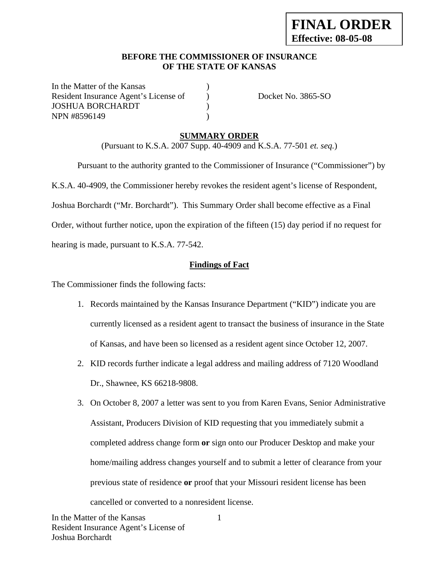#### **BEFORE THE COMMISSIONER OF INSURANCE OF THE STATE OF KANSAS**

In the Matter of the Kansas Resident Insurance Agent's License of ) Docket No. 3865-SO JOSHUA BORCHARDT ) NPN #8596149 (a)

#### **SUMMARY ORDER**

(Pursuant to K.S.A. 2007 Supp. 40-4909 and K.S.A. 77-501 *et. seq.*)

 Pursuant to the authority granted to the Commissioner of Insurance ("Commissioner") by K.S.A. 40-4909, the Commissioner hereby revokes the resident agent's license of Respondent, Joshua Borchardt ("Mr. Borchardt"). This Summary Order shall become effective as a Final Order, without further notice, upon the expiration of the fifteen (15) day period if no request for hearing is made, pursuant to K.S.A. 77-542.

## **Findings of Fact**

The Commissioner finds the following facts:

- 1. Records maintained by the Kansas Insurance Department ("KID") indicate you are currently licensed as a resident agent to transact the business of insurance in the State of Kansas, and have been so licensed as a resident agent since October 12, 2007.
- 2. KID records further indicate a legal address and mailing address of 7120 Woodland Dr., Shawnee, KS 66218-9808.
- 3. On October 8, 2007 a letter was sent to you from Karen Evans, Senior Administrative Assistant, Producers Division of KID requesting that you immediately submit a completed address change form **or** sign onto our Producer Desktop and make your home/mailing address changes yourself and to submit a letter of clearance from your previous state of residence **or** proof that your Missouri resident license has been cancelled or converted to a nonresident license.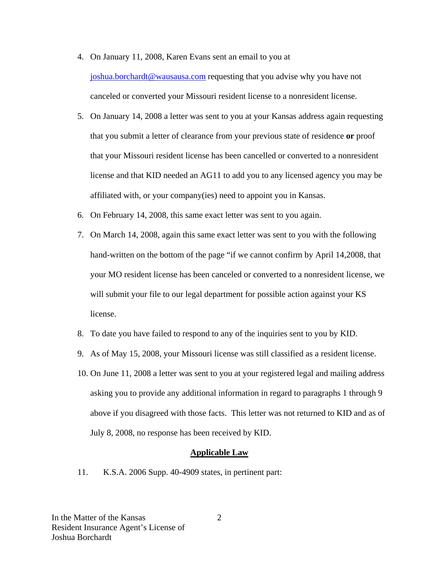- 4. On January 11, 2008, Karen Evans sent an email to you at joshua.borchardt@wausausa.com requesting that you advise why you have not canceled or converted your Missouri resident license to a nonresident license.
- 5. On January 14, 2008 a letter was sent to you at your Kansas address again requesting that you submit a letter of clearance from your previous state of residence **or** proof that your Missouri resident license has been cancelled or converted to a nonresident license and that KID needed an AG11 to add you to any licensed agency you may be affiliated with, or your company(ies) need to appoint you in Kansas.
- 6. On February 14, 2008, this same exact letter was sent to you again.
- 7. On March 14, 2008, again this same exact letter was sent to you with the following hand-written on the bottom of the page "if we cannot confirm by April 14,2008, that your MO resident license has been canceled or converted to a nonresident license, we will submit your file to our legal department for possible action against your KS license.
- 8. To date you have failed to respond to any of the inquiries sent to you by KID.
- 9. As of May 15, 2008, your Missouri license was still classified as a resident license.
- 10. On June 11, 2008 a letter was sent to you at your registered legal and mailing address asking you to provide any additional information in regard to paragraphs 1 through 9 above if you disagreed with those facts. This letter was not returned to KID and as of July 8, 2008, no response has been received by KID.

#### **Applicable Law**

11. K.S.A. 2006 Supp. 40-4909 states, in pertinent part: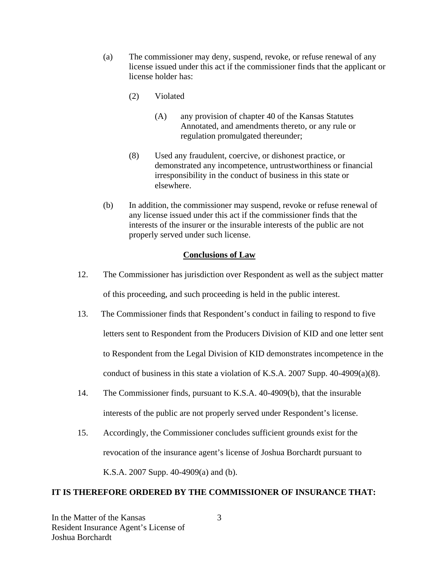- (a) The commissioner may deny, suspend, revoke, or refuse renewal of any license issued under this act if the commissioner finds that the applicant or license holder has:
	- (2) Violated
		- (A) any provision of chapter 40 of the Kansas Statutes Annotated, and amendments thereto, or any rule or regulation promulgated thereunder;
	- (8) Used any fraudulent, coercive, or dishonest practice, or demonstrated any incompetence, untrustworthiness or financial irresponsibility in the conduct of business in this state or elsewhere.
- (b) In addition, the commissioner may suspend, revoke or refuse renewal of any license issued under this act if the commissioner finds that the interests of the insurer or the insurable interests of the public are not properly served under such license.

#### **Conclusions of Law**

- 12. The Commissioner has jurisdiction over Respondent as well as the subject matter of this proceeding, and such proceeding is held in the public interest.
- 13. The Commissioner finds that Respondent's conduct in failing to respond to five letters sent to Respondent from the Producers Division of KID and one letter sent to Respondent from the Legal Division of KID demonstrates incompetence in the conduct of business in this state a violation of K.S.A. 2007 Supp. 40-4909(a)(8).
- 14. The Commissioner finds, pursuant to K.S.A. 40-4909(b), that the insurable interests of the public are not properly served under Respondent's license.
- 15. Accordingly, the Commissioner concludes sufficient grounds exist for the revocation of the insurance agent's license of Joshua Borchardt pursuant to K.S.A. 2007 Supp. 40-4909(a) and (b).

#### **IT IS THEREFORE ORDERED BY THE COMMISSIONER OF INSURANCE THAT:**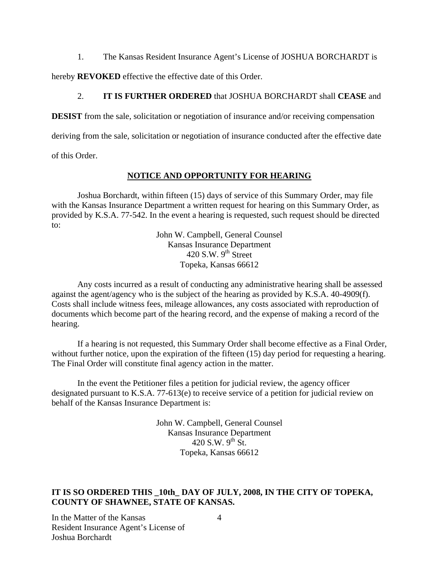1. The Kansas Resident Insurance Agent's License of JOSHUA BORCHARDT is

hereby **REVOKED** effective the effective date of this Order.

#### 2. **IT IS FURTHER ORDERED** that JOSHUA BORCHARDT shall **CEASE** and

**DESIST** from the sale, solicitation or negotiation of insurance and/or receiving compensation

deriving from the sale, solicitation or negotiation of insurance conducted after the effective date

of this Order.

## **NOTICE AND OPPORTUNITY FOR HEARING**

Joshua Borchardt, within fifteen (15) days of service of this Summary Order, may file with the Kansas Insurance Department a written request for hearing on this Summary Order, as provided by K.S.A. 77-542. In the event a hearing is requested, such request should be directed to:

> John W. Campbell, General Counsel Kansas Insurance Department 420 S.W.  $9<sup>th</sup>$  Street Topeka, Kansas 66612

Any costs incurred as a result of conducting any administrative hearing shall be assessed against the agent/agency who is the subject of the hearing as provided by K.S.A. 40-4909(f). Costs shall include witness fees, mileage allowances, any costs associated with reproduction of documents which become part of the hearing record, and the expense of making a record of the hearing.

If a hearing is not requested, this Summary Order shall become effective as a Final Order, without further notice, upon the expiration of the fifteen (15) day period for requesting a hearing. The Final Order will constitute final agency action in the matter.

In the event the Petitioner files a petition for judicial review, the agency officer designated pursuant to K.S.A. 77-613(e) to receive service of a petition for judicial review on behalf of the Kansas Insurance Department is:

> John W. Campbell, General Counsel Kansas Insurance Department  $420$  S.W.  $9^{th}$  St. Topeka, Kansas 66612

## **IT IS SO ORDERED THIS \_10th\_ DAY OF JULY, 2008, IN THE CITY OF TOPEKA, COUNTY OF SHAWNEE, STATE OF KANSAS.**

In the Matter of the Kansas Resident Insurance Agent's License of Joshua Borchardt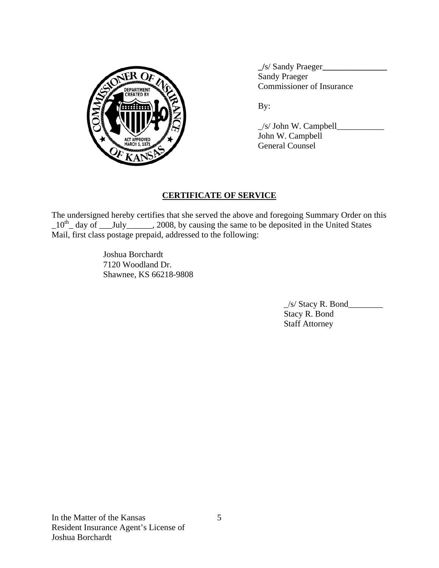

 **\_/**s/ Sandy Praeger**\_\_\_\_\_\_\_\_\_\_\_\_\_\_\_ Sandy Praeger** PARTMENT VOLTON COMMISSIONER OF Insurance

 \_/s/ John W. Campbell\_\_\_\_\_\_\_\_\_\_\_ John W. Campbell General Counsel

# **CERTIFICATE OF SERVICE**

The undersigned hereby certifies that she served the above and foregoing Summary Order on this  $10^{th}$  day of \_\_July\_\_\_\_\_, 2008, by causing the same to be deposited in the United States Mail, first class postage prepaid, addressed to the following:

> Joshua Borchardt 7120 Woodland Dr. Shawnee, KS 66218-9808

> > $\angle$ s/ Stacy R. Bond $\angle$  Stacy R. Bond Staff Attorney